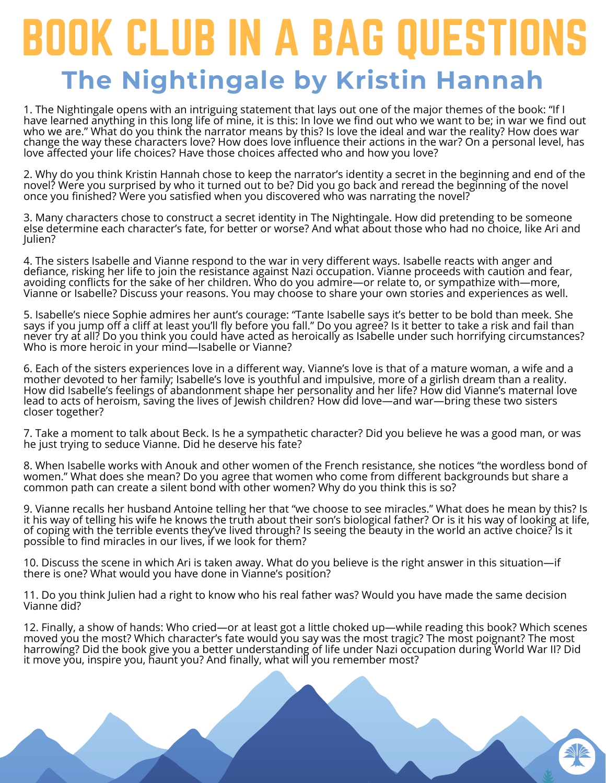### BOOK CLUB IN A BAG QUESTIONS **The Nightingale by Kristin Hannah**

1. The Nightingale opens with an intriguing statement that lays out one of the major themes of the book: "If I have learned anything in this long life of mine, it is this: In love we find out who we want to be; in war we find out who we are." What do you think the narrator means by this? Is love the ideal and war the reality? How does war change the way these characters love? How does love influence their actions in the war? On a personal level, has love affected your life choices? Have those choices affected who and how you love?

2. Why do you think Kristin Hannah chose to keep the narrator's identity a secret in the beginning and end of the novel? Were you surprised by who it turned out to be? Did you go back and reread the beginning of the novel once you finished? Were you satisfied when you discovered who was narrating the novel?

3. Many characters chose to construct a secret identity in The Nightingale. How did pretending to be someone else determine each character's fate, for better or worse? And what about those who had no choice, like Ari and Julien?

4. The sisters Isabelle and Vianne respond to the war in very different ways. Isabelle reacts with anger and defiance, risking her life to join the resistance against Nazi occupation. Vianne proceeds with caution and fear, avoiding conflicts for the sake of her children. Who do you admire—or relate to, or sympathize with—more, Vianne or Isabelle? Discuss your reasons. You may choose to share your own stories and experiences as well.

5. Isabelle's niece Sophie admires her aunt's courage: "Tante Isabelle says it's better to be bold than meek. She says if you jump off a cliff at least you'll fly before you fall." Do you agree? Is it better to take a risk and fail than never try at all? Do you think you could have acted as heroically as Isabelle under such horrifying circumstances? Who is more heroic in your mind—Isabelle or Vianne?

6. Each of the sisters experiences love in a different way. Vianne's love is that of a mature woman, a wife and a mother devoted to her family; Isabelle's love is youthful and impulsive, more of a girlish dream than a reality. How did Isabelle's feelings of abandonment shape her personality and her life? How did Vianne's maternal love lead to acts of heroism, saving the lives of Jewish children? How did love—and war—bring these two sisters closer together?

7. Take a moment to talk about Beck. Is he a sympathetic character? Did you believe he was a good man, or was he just trying to seduce Vianne. Did he deserve his fate?

8. When Isabelle works with Anouk and other women of the French resistance, she notices "the wordless bond of women." What does she mean? Do you agree that women who come from different backgrounds but share a common path can create a silent bond with other women? Why do you think this is so?

9. Vianne recalls her husband Antoine telling her that "we choose to see miracles." What does he mean by this? Is it his way of telling his wife he knows the truth about their son's biological father? Or is it his way of looking at life, of coping with the terrible events they've lived through? Is seeing the beauty in the world an active choice? Is it possible to find miracles in our lives, if we look for them?

10. Discuss the scene in which Ari is taken away. What do you believe is the right answer in this situation—if there is one? What would you have done in Vianne's position?

11. Do you think Julien had a right to know who his real father was? Would you have made the same decision Vianne did?

12. Finally, a show of hands: Who cried—or at least got a little choked up—while reading this book? Which scenes moved you the most? Which character's fate would you say was the most tragic? The most poignant? The most harrowing? Did the book give you a better understanding of life under Nazi occupation during World War II? Did it move you, inspire you, haunt you? And finally, what will you remember most?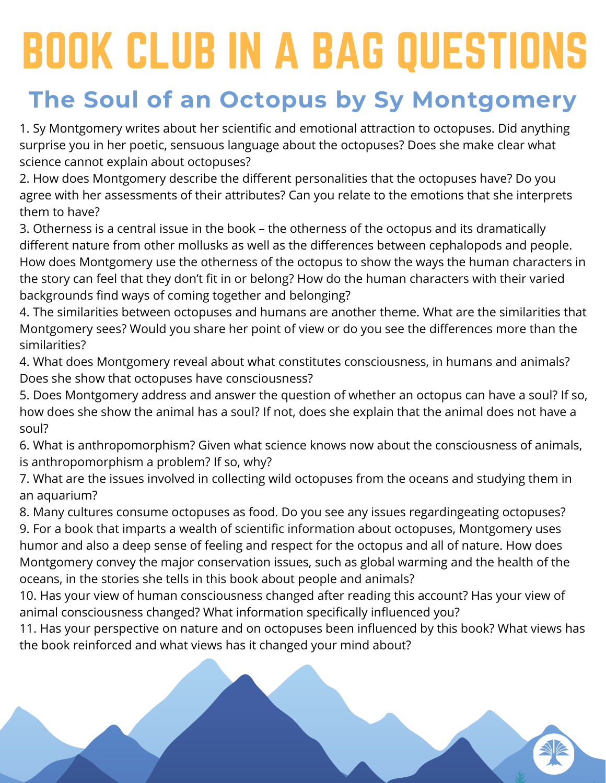# BOOK CLUB IN A BAG QUESTIONS

#### **The Soul of an Octopus by Sy Montgomery**

1. Sy Montgomery writes about her scientific and emotional attraction to octopuses. Did anything surprise you in her poetic, sensuous language about the octopuses? Does she make clear what science cannot explain about octopuses?

2. How does Montgomery describe the different personalities that the octopuses have? Do you agree with her assessments of their attributes? Can you relate to the emotions that she interprets them to have?

3. Otherness is a central issue in the book – the otherness of the octopus and its dramatically different nature from other mollusks as well as the differences between cephalopods and people. How does Montgomery use the otherness of the octopus to show the ways the human characters in the story can feel that they don't fit in or belong? How do the human characters with their varied backgrounds find ways of coming together and belonging?

4. The similarities between octopuses and humans are another theme. What are the similarities that Montgomery sees? Would you share her point of view or do you see the differences more than the similarities?

4. What does Montgomery reveal about what constitutes consciousness, in humans and animals? Does she show that octopuses have consciousness?

5. Does Montgomery address and answer the question of whether an octopus can have a soul? If so, how does she show the animal has a soul? If not, does she explain that the animal does not have a soul?

6. What is anthropomorphism? Given what science knows now about the consciousness of animals, is anthropomorphism a problem? If so, why?

7. What are the issues involved in collecting wild octopuses from the oceans and studying them in an aquarium?

8. Many cultures consume octopuses as food. Do you see any issues regardingeating octopuses? 9. For a book that imparts a wealth of scientific information about octopuses, Montgomery uses humor and also a deep sense of feeling and respect for the octopus and all of nature. How does Montgomery convey the major conservation issues, such as global warming and the health of the oceans, in the stories she tells in this book about people and animals?

10. Has your view of human consciousness changed after reading this account? Has your view of animal consciousness changed? What information specifically influenced you?

11. Has your perspective on nature and on octopuses been influenced by this book? What views has the book reinforced and what views has it changed your mind about?

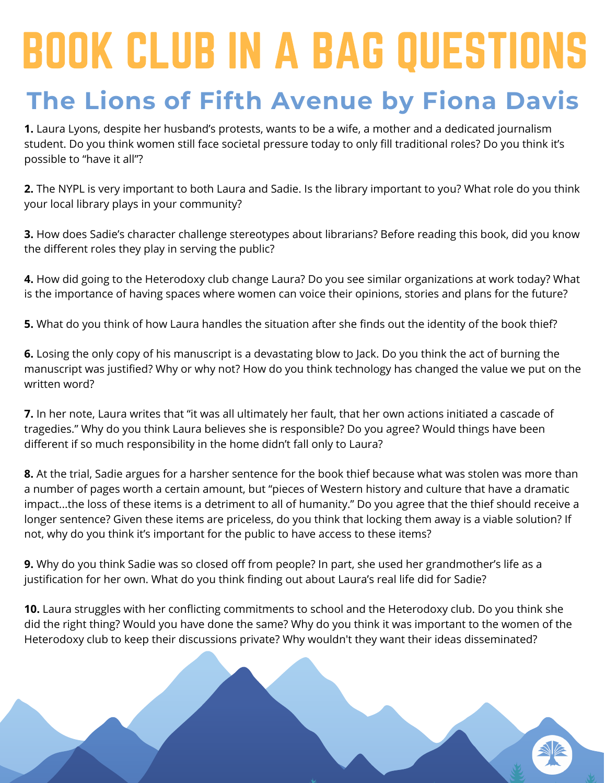# BOOK CLUB IN A BAG QUESTIONS

#### **The Lions of Fifth Avenue by Fiona Davis**

**1.** Laura Lyons, despite her husband's protests, wants to be a wife, a mother and a dedicated journalism student. Do you think women still face societal pressure today to only fill traditional roles? Do you think it's possible to "have it all"?

**2.** The NYPL is very important to both Laura and Sadie. Is the library important to you? What role do you think your local library plays in your community?

**3.** How does Sadie's character challenge stereotypes about librarians? Before reading this book, did you know the different roles they play in serving the public?

**4.** How did going to the Heterodoxy club change Laura? Do you see similar organizations at work today? What is the importance of having spaces where women can voice their opinions, stories and plans for the future?

**5.** What do you think of how Laura handles the situation after she finds out the identity of the book thief?

**6.** Losing the only copy of his manuscript is a devastating blow to Jack. Do you think the act of burning the manuscript was justified? Why or why not? How do you think technology has changed the value we put on the written word?

**7.** In her note, Laura writes that "it was all ultimately her fault, that her own actions initiated a cascade of tragedies." Why do you think Laura believes she is responsible? Do you agree? Would things have been different if so much responsibility in the home didn't fall only to Laura?

**8.** At the trial, Sadie argues for a harsher sentence for the book thief because what was stolen was more than a number of pages worth a certain amount, but "pieces of Western history and culture that have a dramatic impact...the loss of these items is a detriment to all of humanity." Do you agree that the thief should receive a longer sentence? Given these items are priceless, do you think that locking them away is a viable solution? If not, why do you think it's important for the public to have access to these items?

**9.** Why do you think Sadie was so closed off from people? In part, she used her grandmother's life as a justification for her own. What do you think finding out about Laura's real life did for Sadie?

**10.** Laura struggles with her conflicting commitments to school and the Heterodoxy club. Do you think she did the right thing? Would you have done the same? Why do you think it was important to the women of the Heterodoxy club to keep their discussions private? Why wouldn't they want their ideas disseminated?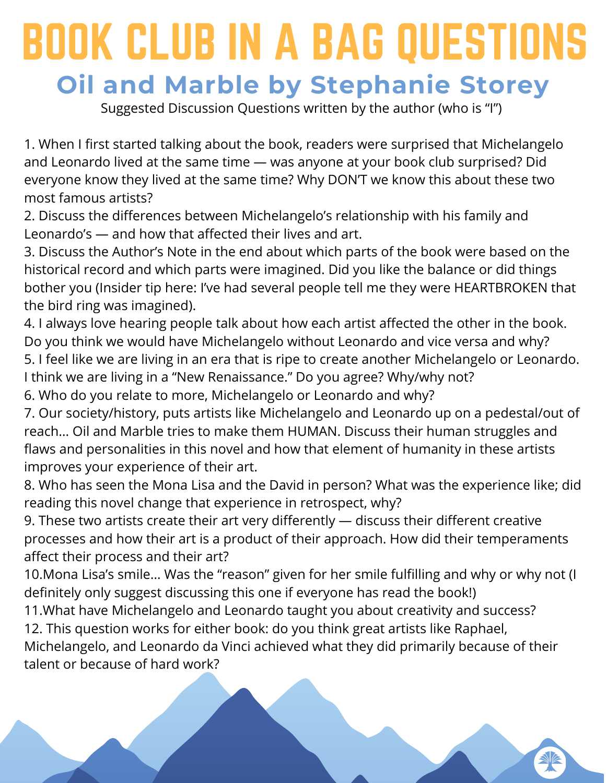### BOOK CLUB IN A BAG QUESTIONS **Oil and Marble by Stephanie Storey**

Suggested Discussion Questions written by the author (who is "I")

1. When I first started talking about the book, readers were surprised that Michelangelo and Leonardo lived at the same time — was anyone at your book club surprised? Did everyone know they lived at the same time? Why DON'T we know this about these two most famous artists?

2. Discuss the differences between Michelangelo's relationship with his family and Leonardo's — and how that affected their lives and art.

3. Discuss the Author's Note in the end about which parts of the book were based on the historical record and which parts were imagined. Did you like the balance or did things bother you (Insider tip here: I've had several people tell me they were HEARTBROKEN that the bird ring was imagined).

4. I always love hearing people talk about how each artist affected the other in the book. Do you think we would have Michelangelo without Leonardo and vice versa and why? 5. I feel like we are living in an era that is ripe to create another Michelangelo or Leonardo. I think we are living in a "New Renaissance." Do you agree? Why/why not?

6. Who do you relate to more, Michelangelo or Leonardo and why?

7. Our society/history, puts artists like Michelangelo and Leonardo up on a pedestal/out of reach… Oil and Marble tries to make them HUMAN. Discuss their human struggles and flaws and personalities in this novel and how that element of humanity in these artists improves your experience of their art.

8. Who has seen the Mona Lisa and the David in person? What was the experience like; did reading this novel change that experience in retrospect, why?

9. These two artists create their art very differently — discuss their different creative processes and how their art is a product of their approach. How did their temperaments affect their process and their art?

10.Mona Lisa's smile… Was the "reason" given for her smile fulfilling and why or why not (I definitely only suggest discussing this one if everyone has read the book!)

11.What have Michelangelo and Leonardo taught you about creativity and success?

12. This question works for either book: do you think great artists like Raphael, Michelangelo, and Leonardo da Vinci achieved what they did primarily because of their talent or because of hard work?

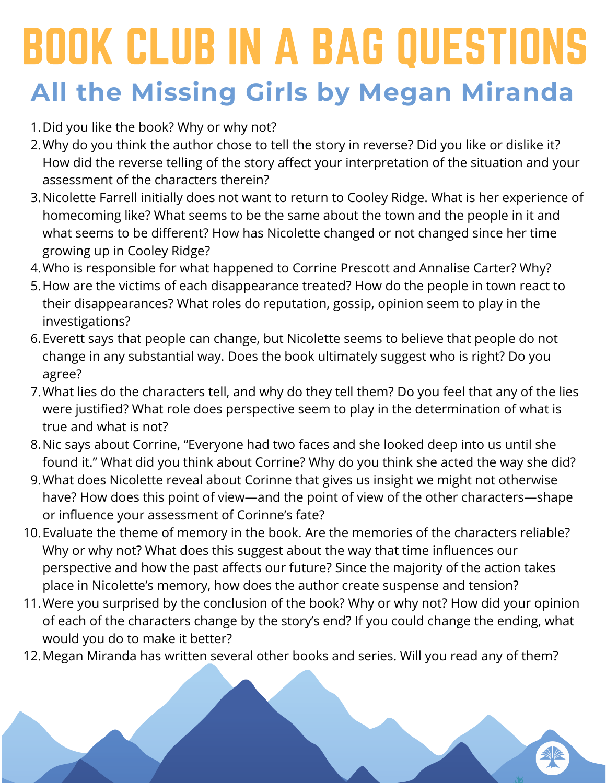## BOOK CLUB IN A BAG QUESTIONS **All the Missing Girls by Megan Miranda**

- Did you like the book? Why or why not? 1.
- Why do you think the author chose to tell the story in reverse? Did you like or dislike it? 2. How did the reverse telling of the story affect your interpretation of the situation and your assessment of the characters therein?
- 3. Nicolette Farrell initially does not want to return to Cooley Ridge. What is her experience of homecoming like? What seems to be the same about the town and the people in it and what seems to be different? How has Nicolette changed or not changed since her time growing up in Cooley Ridge?
- Who is responsible for what happened to Corrine Prescott and Annalise Carter? Why? 4.
- 5.How are the victims of each disappearance treated? How do the people in town react to their disappearances? What roles do reputation, gossip, opinion seem to play in the investigations?
- Everett says that people can change, but Nicolette seems to believe that people do not 6. change in any substantial way. Does the book ultimately suggest who is right? Do you agree?
- What lies do the characters tell, and why do they tell them? Do you feel that any of the lies 7. were justified? What role does perspective seem to play in the determination of what is true and what is not?
- 8.Nic says about Corrine, "Everyone had two faces and she looked deep into us until she found it." What did you think about Corrine? Why do you think she acted the way she did?
- What does Nicolette reveal about Corinne that gives us insight we might not otherwise 9. have? How does this point of view—and the point of view of the other characters—shape or influence your assessment of Corinne's fate?
- 10. Evaluate the theme of memory in the book. Are the memories of the characters reliable? Why or why not? What does this suggest about the way that time influences our perspective and how the past affects our future? Since the majority of the action takes place in Nicolette's memory, how does the author create suspense and tension?
- Were you surprised by the conclusion of the book? Why or why not? How did your opinion 11. of each of the characters change by the story's end? If you could change the ending, what would you do to make it better?
- 12. Megan Miranda has written several other books and series. Will you read any of them?